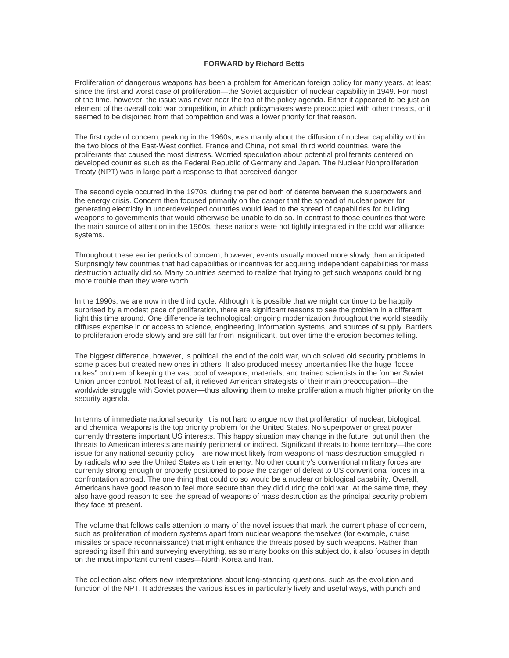## **FORWARD by Richard Betts**

Proliferation of dangerous weapons has been a problem for American foreign policy for many years, at least since the first and worst case of proliferation—the Soviet acquisition of nuclear capability in 1949. For most of the time, however, the issue was never near the top of the policy agenda. Either it appeared to be just an element of the overall cold war competition, in which policymakers were preoccupied with other threats, or it seemed to be disjoined from that competition and was a lower priority for that reason.

The first cycle of concern, peaking in the 1960s, was mainly about the diffusion of nuclear capability within the two blocs of the East-West conflict. France and China, not small third world countries, were the proliferants that caused the most distress. Worried speculation about potential proliferants centered on developed countries such as the Federal Republic of Germany and Japan. The Nuclear Nonproliferation Treaty (NPT) was in large part a response to that perceived danger.

The second cycle occurred in the 1970s, during the period both of détente between the superpowers and the energy crisis. Concern then focused primarily on the danger that the spread of nuclear power for generating electricity in underdeveloped countries would lead to the spread of capabilities for building weapons to governments that would otherwise be unable to do so. In contrast to those countries that were the main source of attention in the 1960s, these nations were not tightly integrated in the cold war alliance systems.

Throughout these earlier periods of concern, however, events usually moved more slowly than anticipated. Surprisingly few countries that had capabilities or incentives for acquiring independent capabilities for mass destruction actually did so. Many countries seemed to realize that trying to get such weapons could bring more trouble than they were worth.

In the 1990s, we are now in the third cycle. Although it is possible that we might continue to be happily surprised by a modest pace of proliferation, there are significant reasons to see the problem in a different light this time around. One difference is technological: ongoing modernization throughout the world steadily diffuses expertise in or access to science, engineering, information systems, and sources of supply. Barriers to proliferation erode slowly and are still far from insignificant, but over time the erosion becomes telling.

The biggest difference, however, is political: the end of the cold war, which solved old security problems in some places but created new ones in others. It also produced messy uncertainties like the huge "loose nukes" problem of keeping the vast pool of weapons, materials, and trained scientists in the former Soviet Union under control. Not least of all, it relieved American strategists of their main preoccupation—the worldwide struggle with Soviet power—thus allowing them to make proliferation a much higher priority on the security agenda.

In terms of immediate national security, it is not hard to argue now that proliferation of nuclear, biological, and chemical weapons is the top priority problem for the United States. No superpower or great power currently threatens important US interests. This happy situation may change in the future, but until then, the threats to American interests are mainly peripheral or indirect. Significant threats to home territory—the core issue for any national security policy—are now most likely from weapons of mass destruction smuggled in by radicals who see the United States as their enemy. No other country's conventional military forces are currently strong enough or properly positioned to pose the danger of defeat to US conventional forces in a confrontation abroad. The one thing that could do so would be a nuclear or biological capability. Overall, Americans have good reason to feel more secure than they did during the cold war. At the same time, they also have good reason to see the spread of weapons of mass destruction as the principal security problem they face at present.

The volume that follows calls attention to many of the novel issues that mark the current phase of concern, such as proliferation of modern systems apart from nuclear weapons themselves (for example, cruise missiles or space reconnaissance) that might enhance the threats posed by such weapons. Rather than spreading itself thin and surveying everything, as so many books on this subject do, it also focuses in depth on the most important current cases—North Korea and Iran.

The collection also offers new interpretations about long-standing questions, such as the evolution and function of the NPT. It addresses the various issues in particularly lively and useful ways, with punch and